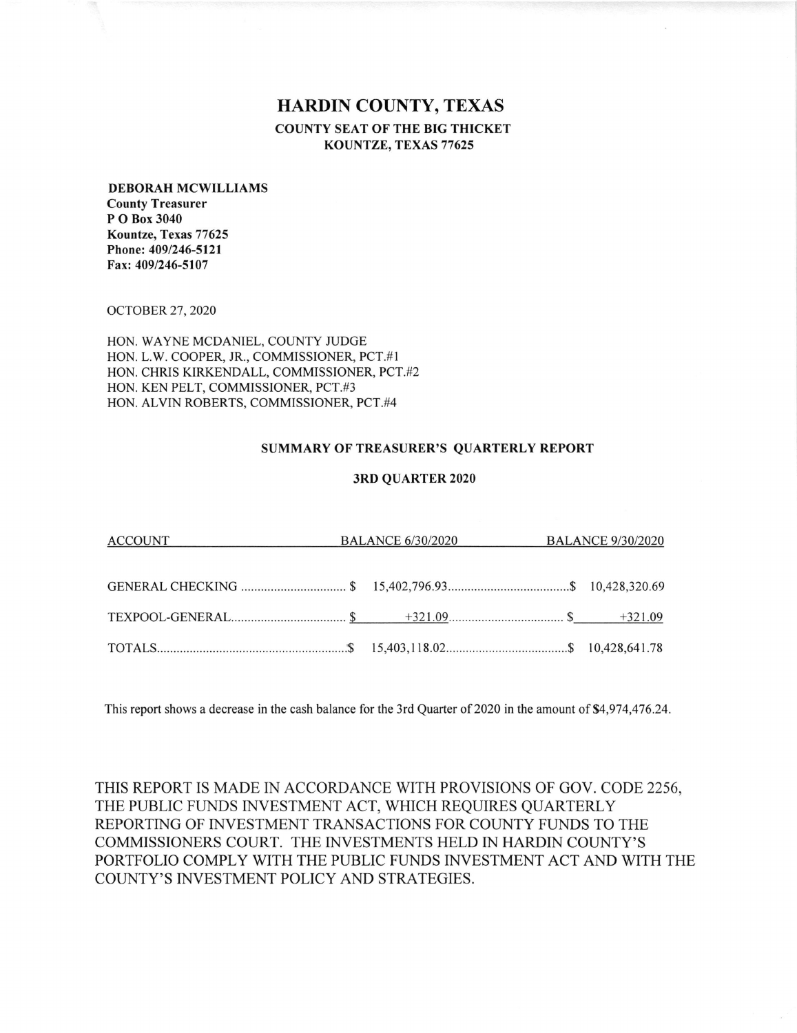## HARDIN COUNTY, TEXAS COUNTY SEAT OF THE BIG THICKET KOUNTZE, TEXAS 77625

## DEBORAH MCWILLIAMS

County Treasurer P O Box 3040 Kountze, Texas 77625 Phone: 409/246-5121 Fax: 409/246-5107

ocroBER 27,2020

HON. WAYNE MCDANIEL, COUNTY JUDGE L.W. COOPER, JR., COMMISSIONER, PCT.#1 HON CHRIS KIRKENDALL, COMMISSIONER, PCT.#2 HON HON. KEN PELT, COMMISSIONER, PCT.#3 ALVIN ROBERTS, COMMISSIONER, PCT.#4 HON

## SUMMARY OF TREASURER'S QUARTERLY REPORT

## 3RD QUARTER 2020

| ACCOUNT | BALANCE 6/30/2020 BALANCE 9/30/2020 |  |
|---------|-------------------------------------|--|
|         |                                     |  |
|         |                                     |  |
|         |                                     |  |
|         |                                     |  |

This report shows a decrease in the cash balance for the 3rd Quarter of 2020 in the amount of \$4,974,476.24.

THIS REPORT IS MADE IN ACCORDANCE WITH PROVISIONS OF GOV. CODE 2256, THE PUBLIC FUNDS INVESTMENT ACT, WHICH REQUIRES QUARTERLY REPORTING OF INVESTMENT TRANSACTIONS FOR COUNTY FUNDS TO THE COMMISSIONERS COURT. THE INVESTMENTS HELD IN HARDIN COUNTY'S PORTFOLIO COMPLY WITH THE PUBLIC FUNDS INVESTMENT ACT AND WITH THE COUNTY'S INVESTMENT POLICY AND STRATEGIES.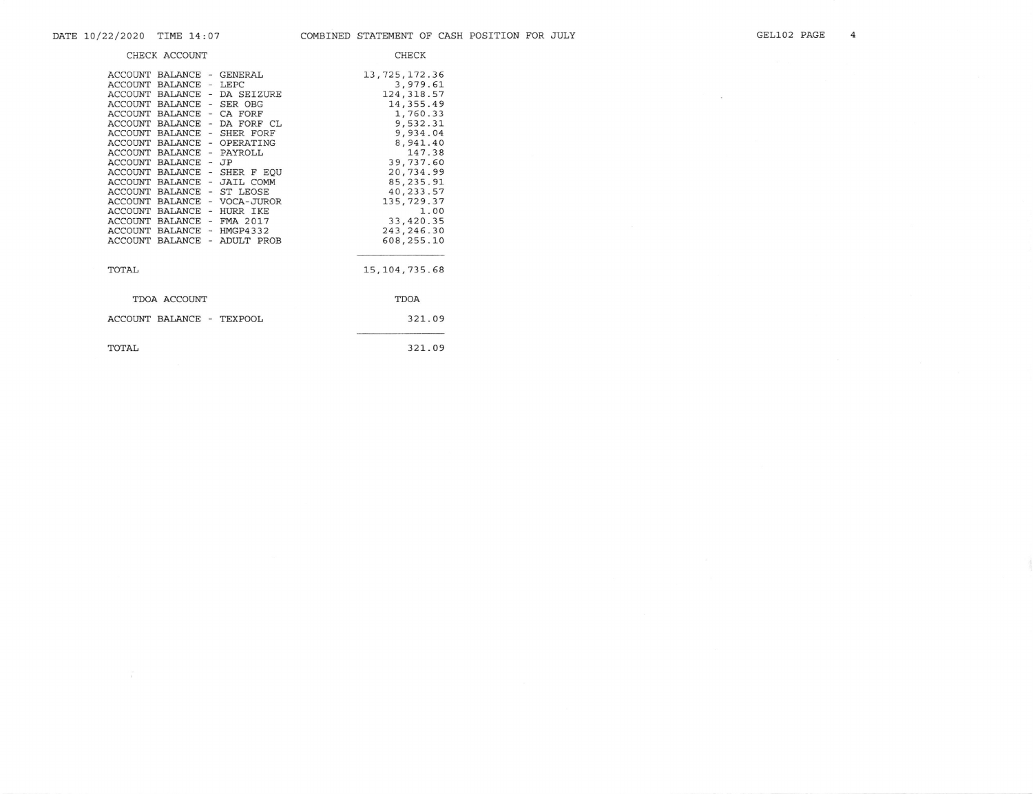$\sim 100$ 

| CHECK ACCOUNT                                                                                                                                                                                                                                                                                                                                                                                                                                                                                                                                                                                                                                                                                                                                                                                             | <b>CHECK</b>                                                                                                                                                                                                                           |
|-----------------------------------------------------------------------------------------------------------------------------------------------------------------------------------------------------------------------------------------------------------------------------------------------------------------------------------------------------------------------------------------------------------------------------------------------------------------------------------------------------------------------------------------------------------------------------------------------------------------------------------------------------------------------------------------------------------------------------------------------------------------------------------------------------------|----------------------------------------------------------------------------------------------------------------------------------------------------------------------------------------------------------------------------------------|
| <b>ACCOUNT</b><br>BALANCE - GENERAL<br>$-LEPC$<br><b>ACCOUNT</b><br><b>BALANCE</b><br><b>ACCOUNT</b><br>BALANCE - DA SEIZURE<br>ACCOUNT BALANCE - SER OBG<br><b>ACCOUNT</b><br><b>BALANCE</b><br>CA FORF<br>$\sim$<br><b>ACCOUNT</b><br><b>BALANCE</b><br>DA FORF CL<br>$\blacksquare$<br><b>ACCOUNT</b><br>BALANCE<br>- SHER FORF<br><b>ACCOUNT</b><br><b>BALANCE</b><br>- OPERATING<br>ACCOUNT BALANCE - PAYROLL<br><b>ACCOUNT</b><br>BALANCE - JP<br><b>ACCOUNT</b><br><b>BALANCE</b><br>SHER F EQU<br>$\sim$<br><b>ACCOUNT</b><br>BALANCE<br>- JAIL COMM<br>ACCOUNT BALANCE<br>- ST LEOSE<br><b>ACCOUNT BALANCE</b><br>- VOCA-JUROR<br>ACCOUNT BALANCE - HURR IKE<br><b>ACCOUNT</b><br><b>BALANCE</b><br>FMA 2017<br>$ \,$<br><b>ACCOUNT</b><br>BALANCE - HMGP4332<br>ACCOUNT BALANCE<br>- ADULT PROB | 13,725,172.36<br>3,979.61<br>124, 318.57<br>14, 355.49<br>1,760.33<br>9,532.31<br>9,934.04<br>8.941.40<br>147.38<br>39,737.60<br>20,734.99<br>85, 235.91<br>40,233.57<br>135,729.37<br>1.00<br>33,420.35<br>243, 246.30<br>608, 255.10 |
| TOTAL,                                                                                                                                                                                                                                                                                                                                                                                                                                                                                                                                                                                                                                                                                                                                                                                                    | 15, 104, 735.68                                                                                                                                                                                                                        |
| TDOA ACCOUNT                                                                                                                                                                                                                                                                                                                                                                                                                                                                                                                                                                                                                                                                                                                                                                                              | TDOA                                                                                                                                                                                                                                   |
| ACCOUNT BALANCE -<br>TEXPOOL                                                                                                                                                                                                                                                                                                                                                                                                                                                                                                                                                                                                                                                                                                                                                                              | 321.09                                                                                                                                                                                                                                 |
| TOTAL                                                                                                                                                                                                                                                                                                                                                                                                                                                                                                                                                                                                                                                                                                                                                                                                     | 321.09                                                                                                                                                                                                                                 |